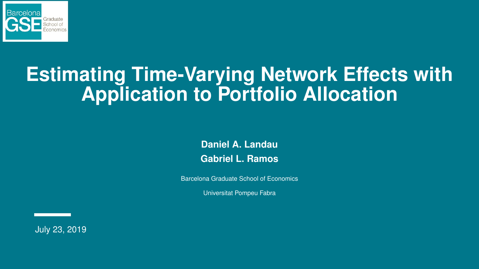

## **Estimating Time-Varying Network Effects with Application to Portfolio Allocation**

**Daniel A. Landau Gabriel L. Ramos**

Barcelona Graduate School of Economics

Universitat Pompeu Fabra

July 23, 2019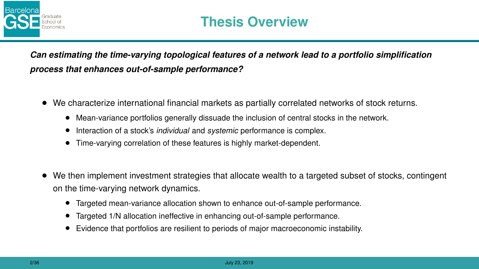

*Can estimating the time-varying topological features of a network lead to a portfolio simplification process that enhances out-of-sample performance?*

- We characterize international financial markets as partially correlated networks of stock returns.
	- Mean-variance portfolios generally dissuade the inclusion of central stocks in the network.
	- Interaction of a stock's *individual* and *systemic* performance is complex.
	- Time-varying correlation of these features is highly market-dependent.
- We then implement investment strategies that allocate wealth to a targeted subset of stocks, contingent on the time-varying network dynamics.
	- Targeted mean-variance allocation shown to enhance out-of-sample performance.
	- Targeted 1/N allocation ineffective in enhancing out-of-sample performance.
	- Evidence that portfolios are resilient to periods of major macroeconomic instability.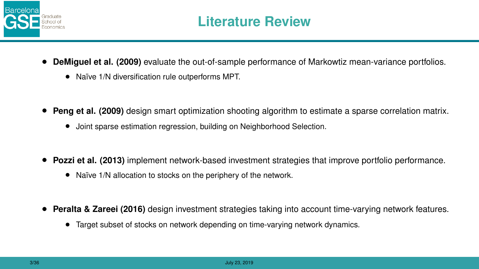

- **DeMiguel et al. (2009)** evaluate the out-of-sample performance of Markowtiz mean-variance portfolios.
	- Naïve 1/N diversification rule outperforms MPT.
- **Peng et al. (2009)** design smart optimization shooting algorithm to estimate a sparse correlation matrix.
	- Joint sparse estimation regression, building on Neighborhood Selection.
- **Pozzi et al. (2013)** implement network-based investment strategies that improve portfolio performance.
	- Naïve 1/N allocation to stocks on the periphery of the network.
- **Peralta & Zareei (2016)** design investment strategies taking into account time-varying network features.
	- Target subset of stocks on network depending on time-varying network dynamics.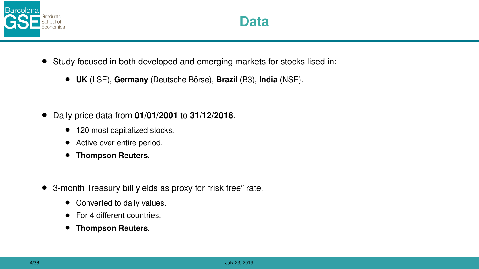

- Study focused in both developed and emerging markets for stocks lised in:
	- **UK** (LSE), Germany (Deutsche Börse), Brazil (B3), India (NSE).
- Daily price data from **01/01/2001** to **31/12/2018**.
	- 120 most capitalized stocks.
	- Active over entire period.
	- **Thompson Reuters**.
- 3-month Treasury bill yields as proxy for "risk free" rate.
	- Converted to daily values.
	- For 4 different countries.
	- **Thompson Reuters**.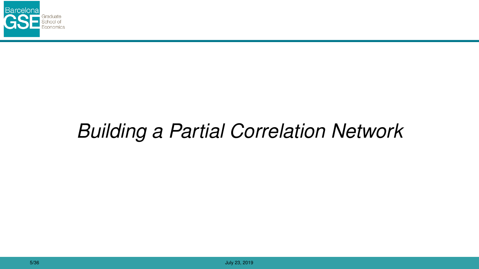

# *Building a Partial Correlation Network*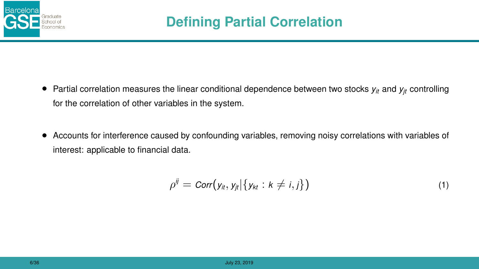

- Partial correlation measures the linear conditional dependence between two stocks  $y_i$  and  $y_i$  controlling for the correlation of other variables in the system.
- Accounts for interference caused by confounding variables, removing noisy correlations with variables of interest: applicable to financial data.

$$
\rho^{ij} = \text{Corr}(y_{it}, y_{jt} | \{y_{kt} : k \neq i, j\}) \tag{1}
$$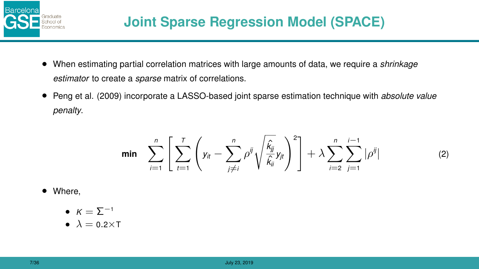

- When estimating partial correlation matrices with large amounts of data, we require a *shrinkage estimator* to create a *sparse* matrix of correlations.
- Peng et al. (2009) incorporate a LASSO-based joint sparse estimation technique with *absolute value penalty*.

$$
\min \quad \sum_{i=1}^{n} \left[ \sum_{t=1}^{T} \left( y_{it} - \sum_{j \neq i}^{n} \rho^{ij} \sqrt{\frac{\hat{k}_{jj}}{\hat{k}_{ii}}} y_{jt} \right)^2 \right] + \lambda \sum_{i=2}^{n} \sum_{j=1}^{i-1} |\rho^{ij}| \tag{2}
$$

- Where,
	- $K = \sum^{-1}$
	- $\lambda = 0.2 \times T$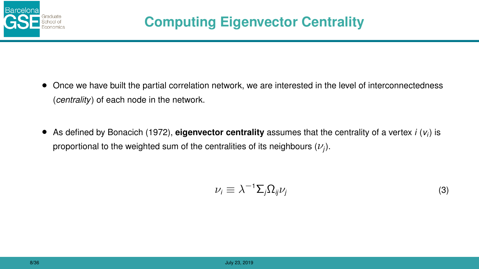

- Once we have built the partial correlation network, we are interested in the level of interconnectedness (*centrality*) of each node in the network.
- As defined by Bonacich (1972), **eigenvector centrality** assumes that the centrality of a vertex *i* (*v<sup>i</sup>* ) is proportional to the weighted sum of the centralities of its neighbours  $(\nu_j)$ .

$$
\nu_i \equiv \lambda^{-1} \sum_j \Omega_{ij} \nu_j \tag{3}
$$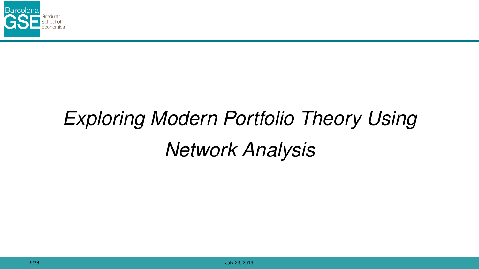

# *Exploring Modern Portfolio Theory Using Network Analysis*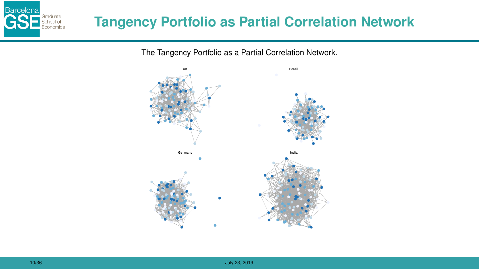

The Tangency Portfolio as a Partial Correlation Network.



Barcelona

Graduate<br>School of<br>Economics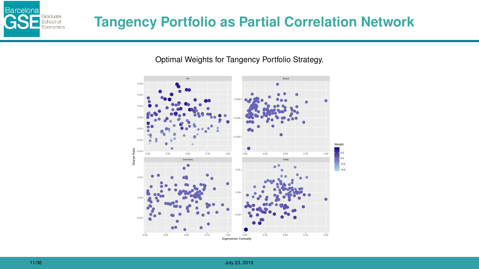

## **Tangency Portfolio as Partial Correlation Network**

Optimal Weights for Tangency Portfolio Strategy.

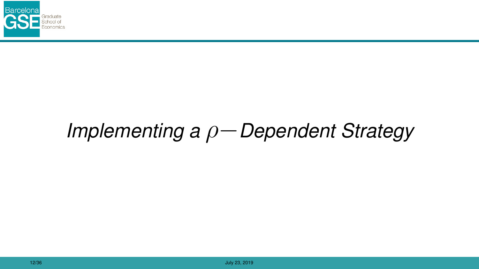

# *Implementing a* ρ−*Dependent Strategy*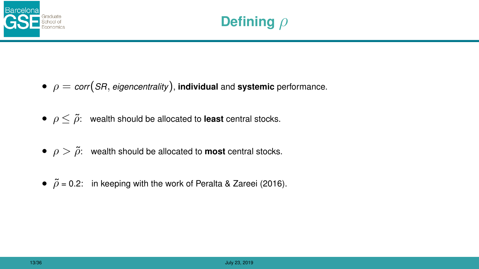

- $\bullet$   $\rho = \text{corr}(SR, \text{eigencentrality})$ , **individual** and **systemic** performance.
- $\rho \leq \tilde{\rho}$ : wealth should be allocated to **least** central stocks.
- $\rho > \tilde{\rho}$ : wealth should be allocated to **most** central stocks.
- $\tilde{\rho}$  = 0.2: in keeping with the work of Peralta & Zareei (2016).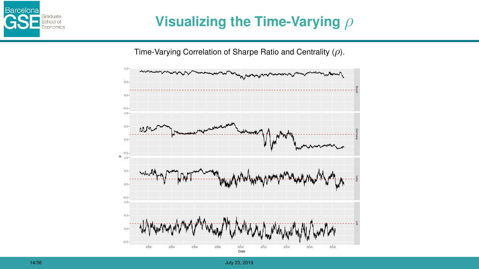

## **Visualizing the Time-Varying** ρ



Time-Varying Correlation of Sharpe Ratio and Centrality  $(\rho)$ .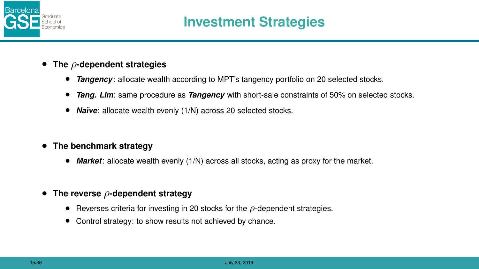

- **The** ρ**-dependent strategies**
	- *Tangency*: allocate wealth according to MPT's tangency portfolio on 20 selected stocks.
	- *Tang. Lim*: same procedure as *Tangency* with short-sale constraints of 50% on selected stocks.
	- **Naïve**: allocate wealth evenly (1/N) across 20 selected stocks.
- **The benchmark strategy**
	- *Market*: allocate wealth evenly (1/N) across all stocks, acting as proxy for the market.
- **The reverse** ρ**-dependent strategy**
	- Reverses criteria for investing in 20 stocks for the  $\rho$ -dependent strategies.
	- Control strategy: to show results not achieved by chance.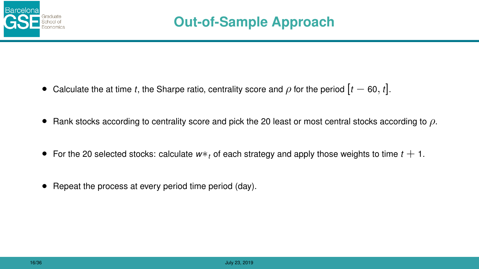

- Calculate the at time *t*, the Sharpe ratio, centrality score and  $\rho$  for the period  $[t 60, t]$ .
- Rank stocks according to centrality score and pick the 20 least or most central stocks according to  $\rho$ .
- For the 20 selected stocks: calculate *w*∗*<sup>t</sup>* of each strategy and apply those weights to time *t* + 1.
- Repeat the process at every period time period (day).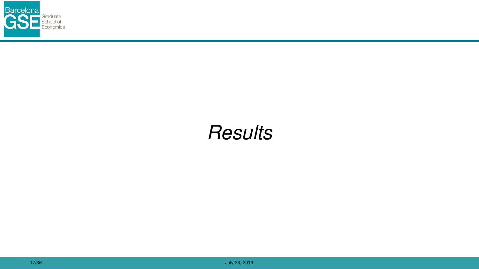

## *Results*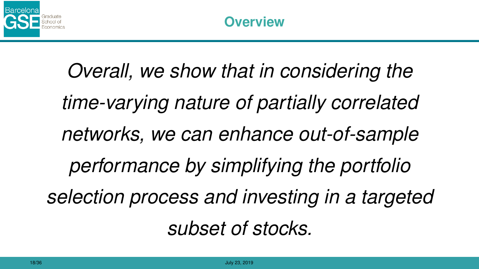

*Overall, we show that in considering the time-varying nature of partially correlated networks, we can enhance out-of-sample performance by simplifying the portfolio selection process and investing in a targeted subset of stocks.*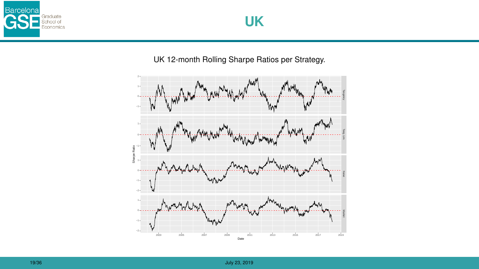



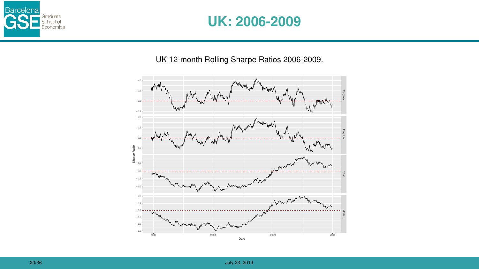

### **UK: 2006-2009**

UK 12-month Rolling Sharpe Ratios 2006-2009.

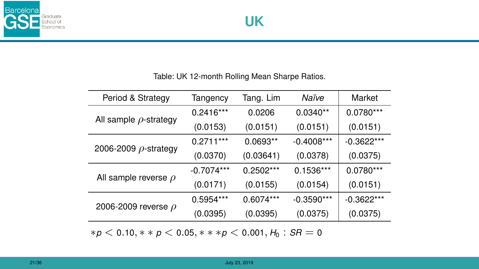

#### Table: UK 12-month Rolling Mean Sharpe Ratios.

| Period & Strategy           | Tangency     | Tang. Lim   | Naïve        | Market       |
|-----------------------------|--------------|-------------|--------------|--------------|
| All sample $\rho$ -strategy | $0.2416***$  | 0.0206      | $0.0340**$   | 0.0780***    |
|                             | (0.0153)     | (0.0151)    | (0.0151)     | (0.0151)     |
| 2006-2009 $\rho$ -strategy  | $0.2711***$  | $0.0693**$  | $-0.4008***$ | $-0.3622***$ |
|                             | (0.0370)     | (0.03641)   | (0.0378)     | (0.0375)     |
| All sample reverse $\rho$   | $-0.7074***$ | 0.2502***   | $0.1536***$  | 0.0780***    |
|                             | (0.0171)     | (0.0155)    | (0.0154)     | (0.0151)     |
| 2006-2009 reverse $\rho$    | $0.5954***$  | $0.6074***$ | $-0.3590***$ | $-0.3622***$ |
|                             | (0.0395)     | (0.0395)    | (0.0375)     | (0.0375)     |
|                             |              |             |              |              |

∗*p* < 0.10, ∗ ∗ *p* < 0.05, ∗ ∗ ∗*p* < 0.001, *H*<sup>0</sup> : *SR* = 0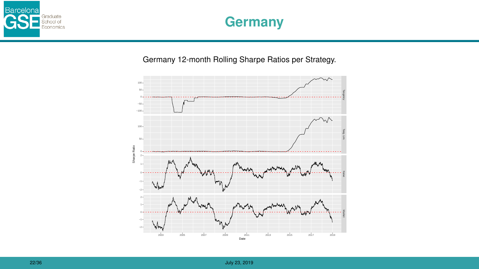

## **Germany**

Germany 12-month Rolling Sharpe Ratios per Strategy.

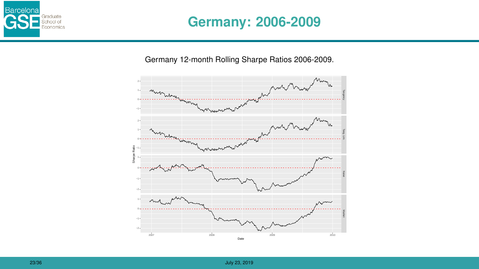

### **Germany: 2006-2009**

Germany 12-month Rolling Sharpe Ratios 2006-2009.

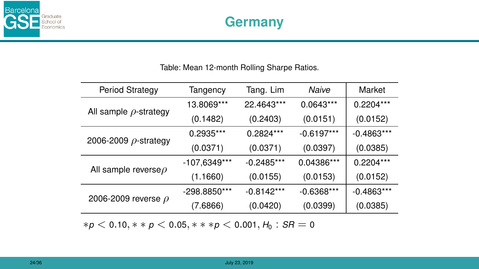

#### Table: Mean 12-month Rolling Sharpe Ratios.

| Tangency       | Tang. Lim    | Naive        | Market       |
|----------------|--------------|--------------|--------------|
| 13.8069***     | 22.4643***   | $0.0643***$  | $0.2204***$  |
| (0.1482)       | (0.2403)     | (0.0151)     | (0.0152)     |
| $0.2935***$    | 0.2824***    | $-0.6197***$ | $-0.4863***$ |
| (0.0371)       | (0.0371)     | (0.0397)     | (0.0385)     |
| $-107,6349***$ | $-0.2485***$ | 0.04386***   | $0.2204***$  |
| (1.1660)       | (0.0155)     | (0.0153)     | (0.0152)     |
| -298.8850***   | $-0.8142***$ | $-0.6368***$ | $-0.4863***$ |
| (7.6866)       | (0.0420)     | (0.0399)     | (0.0385)     |
|                |              |              |              |

∗*p* < 0.10, ∗ ∗ *p* < 0.05, ∗ ∗ ∗*p* < 0.001, *H*<sup>0</sup> : *SR* = 0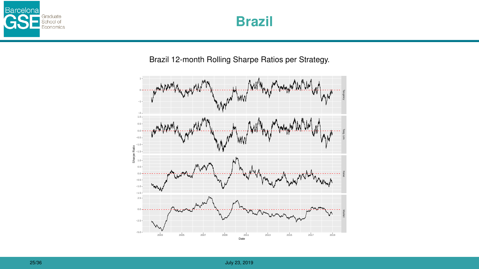



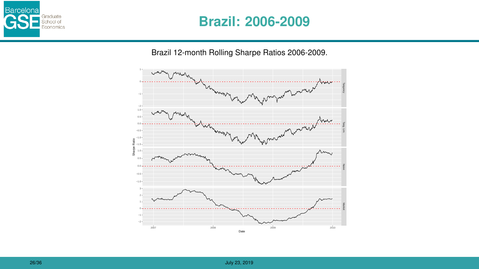

#### **Brazil: 2006-2009**

Brazil 12-month Rolling Sharpe Ratios 2006-2009.

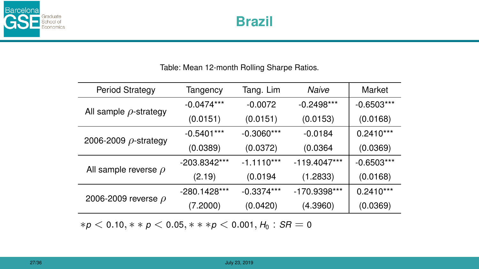

#### Table: Mean 12-month Rolling Sharpe Ratios.

| Period Strategy             | Tangency       | Tang. Lim    | Naive          | Market       |
|-----------------------------|----------------|--------------|----------------|--------------|
| All sample $\rho$ -strategy | $-0.0474***$   | $-0.0072$    | $-0.2498***$   | $-0.6503***$ |
|                             | (0.0151)       | (0.0151)     | (0.0153)       | (0.0168)     |
| 2006-2009 $\rho$ -strategy  | $-0.5401***$   | $-0.3060***$ | $-0.0184$      | $0.2410***$  |
|                             | (0.0389)       | (0.0372)     | (0.0364)       | (0.0369)     |
| All sample reverse $\rho$   | $-203.8342***$ | $-1.1110***$ | $-119.4047***$ | $-0.6503***$ |
|                             | (2.19)         | (0.0194)     | (1.2833)       | (0.0168)     |
| 2006-2009 reverse $\rho$    | -280.1428***   | $-0.3374***$ | -170.9398***   | $0.2410***$  |
|                             | (7.2000)       | (0.0420)     | (4.3960)       | (0.0369)     |
|                             |                |              |                |              |

∗*p* < 0.10, ∗ ∗ *p* < 0.05, ∗ ∗ ∗*p* < 0.001, *H*<sup>0</sup> : *SR* = 0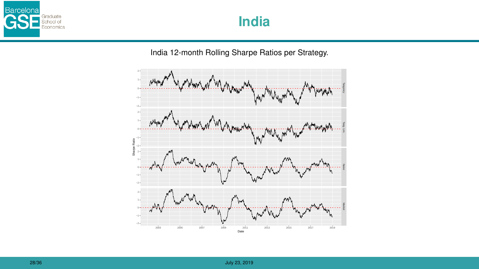

India 12-month Rolling Sharpe Ratios per Strategy.

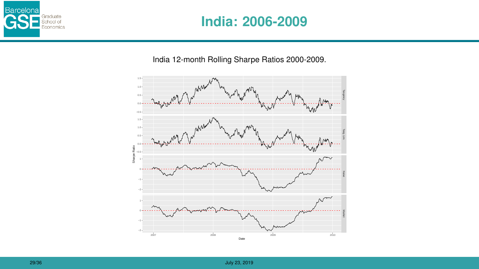

## **India: 2006-2009**

India 12-month Rolling Sharpe Ratios 2000-2009.

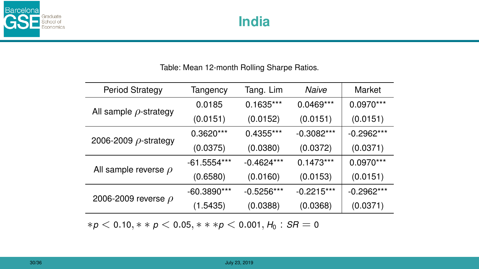

#### Table: Mean 12-month Rolling Sharpe Ratios.

| Period Strategy             | Tangency      | Tang. Lim    | Naive        | Market       |
|-----------------------------|---------------|--------------|--------------|--------------|
| All sample $\rho$ -strategy | 0.0185        | $0.1635***$  | $0.0469***$  | 0.0970***    |
|                             | (0.0151)      | (0.0152)     | (0.0151)     | (0.0151)     |
| 2006-2009 $\rho$ -strategy  | $0.3620***$   | $0.4355***$  | $-0.3082***$ | $-0.2962***$ |
|                             | (0.0375)      | (0.0380)     | (0.0372)     | (0.0371)     |
| All sample reverse $\rho$   | -61.5554***   | $-0.4624***$ | $0.1473***$  | 0.0970***    |
|                             | (0.6580)      | (0.0160)     | (0.0153)     | (0.0151)     |
| 2006-2009 reverse $\rho$    | $-60.3890***$ | $-0.5256***$ | $-0.2215***$ | $-0.2962***$ |
|                             | (1.5435)      | (0.0388)     | (0.0368)     | (0.0371)     |

∗*p* < 0.10, ∗ ∗ *p* < 0.05, ∗ ∗ ∗*p* < 0.001, *H*<sup>0</sup> : *SR* = 0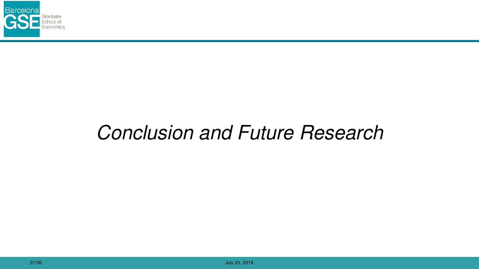

# *Conclusion and Future Research*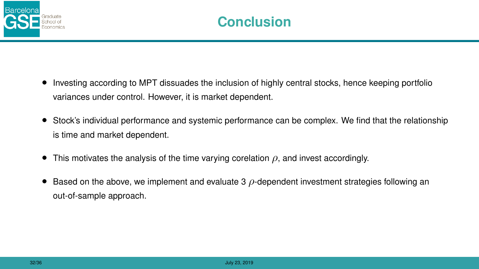

- Investing according to MPT dissuades the inclusion of highly central stocks, hence keeping portfolio variances under control. However, it is market dependent.
- Stock's individual performance and systemic performance can be complex. We find that the relationship is time and market dependent.
- This motivates the analysis of the time varying corelation  $\rho$ , and invest accordingly.
- $\bullet$  Based on the above, we implement and evaluate 3  $\rho$ -dependent investment strategies following an out-of-sample approach.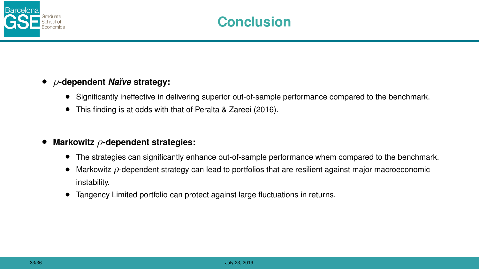

#### • ρ**-dependent** *Na¨ıve* **strategy:**

- Significantly ineffective in delivering superior out-of-sample performance compared to the benchmark.
- This finding is at odds with that of Peralta & Zareei (2016).

#### • **Markowitz** ρ**-dependent strategies:**

- The strategies can significantly enhance out-of-sample performance whem compared to the benchmark.
- Markowitz  $\rho$ -dependent strategy can lead to portfolios that are resilient against major macroeconomic instability.
- Tangency Limited portfolio can protect against large fluctuations in returns.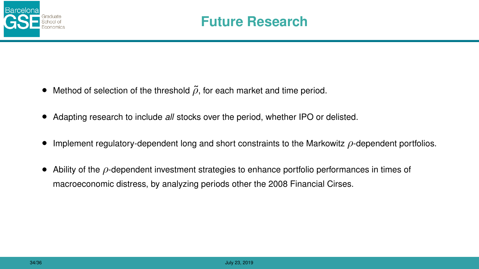

- Method of selection of the threshold  $\tilde{\rho}$ , for each market and time period.
- Adapting research to include *all* stocks over the period, whether IPO or delisted.
- Implement regulatory-dependent long and short constraints to the Markowitz  $\rho$ -dependent portfolios.
- Ability of the  $\rho$ -dependent investment strategies to enhance portfolio performances in times of macroeconomic distress, by analyzing periods other the 2008 Financial Cirses.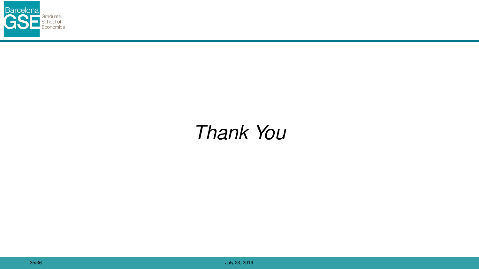

# *Thank You*